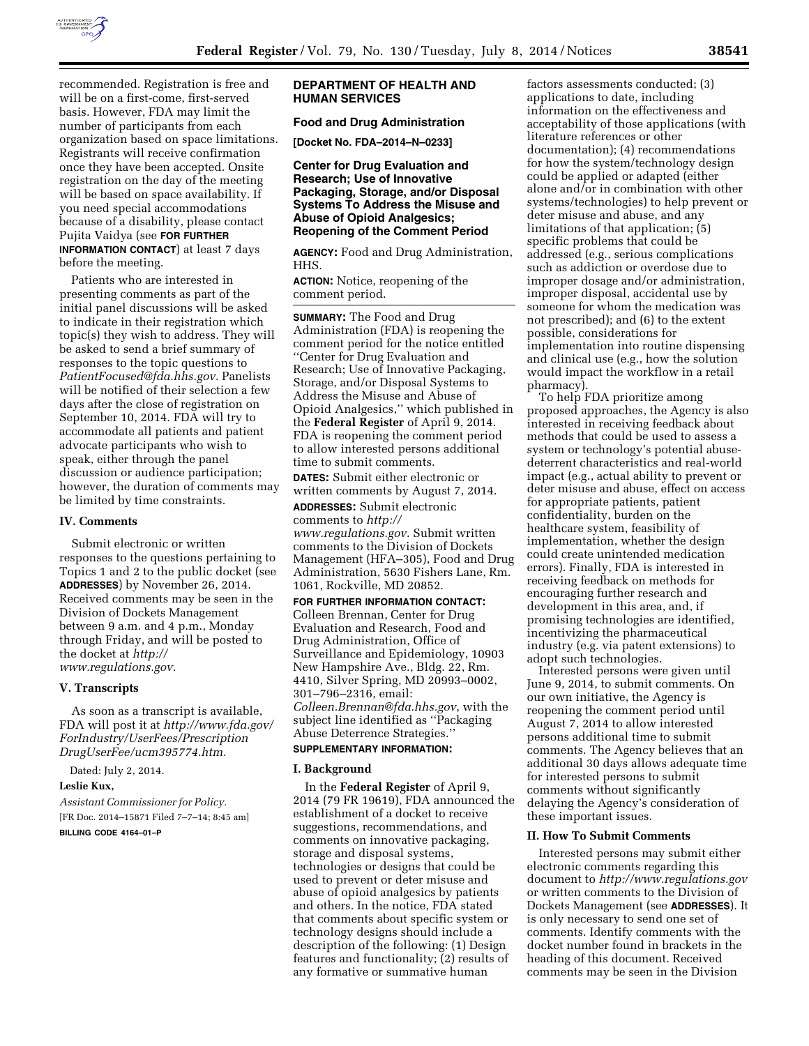

recommended. Registration is free and will be on a first-come, first-served basis. However, FDA may limit the number of participants from each organization based on space limitations. Registrants will receive confirmation once they have been accepted. Onsite registration on the day of the meeting will be based on space availability. If you need special accommodations because of a disability, please contact Pujita Vaidya (see **FOR FURTHER INFORMATION CONTACT**) at least 7 days before the meeting.

Patients who are interested in presenting comments as part of the initial panel discussions will be asked to indicate in their registration which topic(s) they wish to address. They will be asked to send a brief summary of responses to the topic questions to *[PatientFocused@fda.hhs.gov.](mailto:PatientFocused@fda.hhs.gov)* Panelists will be notified of their selection a few days after the close of registration on September 10, 2014. FDA will try to accommodate all patients and patient advocate participants who wish to speak, either through the panel discussion or audience participation; however, the duration of comments may be limited by time constraints.

### **IV. Comments**

Submit electronic or written responses to the questions pertaining to Topics 1 and 2 to the public docket (see **ADDRESSES**) by November 26, 2014. Received comments may be seen in the Division of Dockets Management between 9 a.m. and 4 p.m., Monday through Friday, and will be posted to the docket at *[http://](http://www.regulations.gov) [www.regulations.gov.](http://www.regulations.gov)* 

### **V. Transcripts**

As soon as a transcript is available, FDA will post it at *[http://www.fda.gov/](http://www.fda.gov/ForIndustry/UserFees/PrescriptionDrugUserFee/ucm395774.htm)  [ForIndustry/UserFees/Prescription](http://www.fda.gov/ForIndustry/UserFees/PrescriptionDrugUserFee/ucm395774.htm) [DrugUserFee/ucm395774.htm.](http://www.fda.gov/ForIndustry/UserFees/PrescriptionDrugUserFee/ucm395774.htm)* 

Dated: July 2, 2014.

#### **Leslie Kux,**

*Assistant Commissioner for Policy.*  [FR Doc. 2014–15871 Filed 7–7–14; 8:45 am]

**BILLING CODE 4164–01–P** 

# **DEPARTMENT OF HEALTH AND HUMAN SERVICES**

# **Food and Drug Administration**

**[Docket No. FDA–2014–N–0233]** 

**Center for Drug Evaluation and Research; Use of Innovative Packaging, Storage, and/or Disposal Systems To Address the Misuse and Abuse of Opioid Analgesics; Reopening of the Comment Period** 

**AGENCY:** Food and Drug Administration, HHS.

**ACTION:** Notice, reopening of the comment period.

**SUMMARY:** The Food and Drug Administration (FDA) is reopening the comment period for the notice entitled ''Center for Drug Evaluation and Research; Use of Innovative Packaging, Storage, and/or Disposal Systems to Address the Misuse and Abuse of Opioid Analgesics,'' which published in the **Federal Register** of April 9, 2014. FDA is reopening the comment period to allow interested persons additional time to submit comments.

**DATES:** Submit either electronic or written comments by August 7, 2014.

**ADDRESSES:** Submit electronic comments to *[http://](http://www.regulations.gov) [www.regulations.gov](http://www.regulations.gov)*. Submit written comments to the Division of Dockets Management (HFA–305), Food and Drug Administration, 5630 Fishers Lane, Rm. 1061, Rockville, MD 20852.

# **FOR FURTHER INFORMATION CONTACT:**

Colleen Brennan, Center for Drug Evaluation and Research, Food and Drug Administration, Office of Surveillance and Epidemiology, 10903 New Hampshire Ave., Bldg. 22, Rm. 4410, Silver Spring, MD 20993–0002, 301–796–2316, email: *[Colleen.Brennan@fda.hhs.gov](mailto:Colleen.Brennan@fda.hhs.gov)*, with the subject line identified as ''Packaging Abuse Deterrence Strategies.''

# **SUPPLEMENTARY INFORMATION:**

#### **I. Background**

In the **Federal Register** of April 9, 2014 (79 FR 19619), FDA announced the establishment of a docket to receive suggestions, recommendations, and comments on innovative packaging, storage and disposal systems, technologies or designs that could be used to prevent or deter misuse and abuse of opioid analgesics by patients and others. In the notice, FDA stated that comments about specific system or technology designs should include a description of the following: (1) Design features and functionality; (2) results of any formative or summative human

factors assessments conducted; (3) applications to date, including information on the effectiveness and acceptability of those applications (with literature references or other documentation); (4) recommendations for how the system/technology design could be applied or adapted (either alone and/or in combination with other systems/technologies) to help prevent or deter misuse and abuse, and any limitations of that application; (5) specific problems that could be addressed (e.g., serious complications such as addiction or overdose due to improper dosage and/or administration, improper disposal, accidental use by someone for whom the medication was not prescribed); and (6) to the extent possible, considerations for implementation into routine dispensing and clinical use (e.g., how the solution would impact the workflow in a retail pharmacy).

To help FDA prioritize among proposed approaches, the Agency is also interested in receiving feedback about methods that could be used to assess a system or technology's potential abusedeterrent characteristics and real-world impact (e.g., actual ability to prevent or deter misuse and abuse, effect on access for appropriate patients, patient confidentiality, burden on the healthcare system, feasibility of implementation, whether the design could create unintended medication errors). Finally, FDA is interested in receiving feedback on methods for encouraging further research and development in this area, and, if promising technologies are identified, incentivizing the pharmaceutical industry (e.g. via patent extensions) to adopt such technologies.

Interested persons were given until June 9, 2014, to submit comments. On our own initiative, the Agency is reopening the comment period until August 7, 2014 to allow interested persons additional time to submit comments. The Agency believes that an additional 30 days allows adequate time for interested persons to submit comments without significantly delaying the Agency's consideration of these important issues.

## **II. How To Submit Comments**

Interested persons may submit either electronic comments regarding this document to *<http://www.regulations.gov>* or written comments to the Division of Dockets Management (see **ADDRESSES**). It is only necessary to send one set of comments. Identify comments with the docket number found in brackets in the heading of this document. Received comments may be seen in the Division